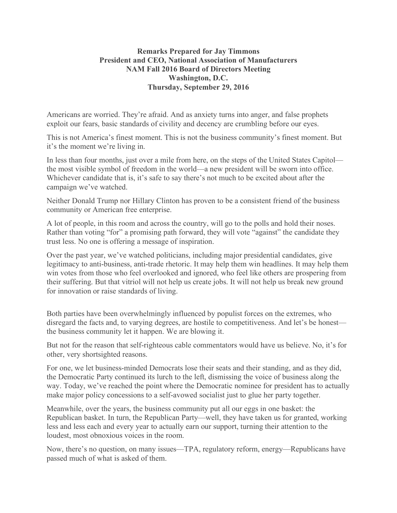## **Remarks Prepared for Jay Timmons President and CEO, National Association of Manufacturers NAM Fall 2016 Board of Directors Meeting Washington, D.C. Thursday, September 29, 2016**

Americans are worried. They're afraid. And as anxiety turns into anger, and false prophets exploit our fears, basic standards of civility and decency are crumbling before our eyes.

This is not America's finest moment. This is not the business community's finest moment. But it's the moment we're living in.

In less than four months, just over a mile from here, on the steps of the United States Capitol the most visible symbol of freedom in the world—a new president will be sworn into office. Whichever candidate that is, it's safe to say there's not much to be excited about after the campaign we've watched.

Neither Donald Trump nor Hillary Clinton has proven to be a consistent friend of the business community or American free enterprise.

A lot of people, in this room and across the country, will go to the polls and hold their noses. Rather than voting "for" a promising path forward, they will vote "against" the candidate they trust less. No one is offering a message of inspiration.

Over the past year, we've watched politicians, including major presidential candidates, give legitimacy to anti-business, anti-trade rhetoric. It may help them win headlines. It may help them win votes from those who feel overlooked and ignored, who feel like others are prospering from their suffering. But that vitriol will not help us create jobs. It will not help us break new ground for innovation or raise standards of living.

Both parties have been overwhelmingly influenced by populist forces on the extremes, who disregard the facts and, to varying degrees, are hostile to competitiveness. And let's be honest the business community let it happen. We are blowing it.

But not for the reason that self-righteous cable commentators would have us believe. No, it's for other, very shortsighted reasons.

For one, we let business-minded Democrats lose their seats and their standing, and as they did, the Democratic Party continued its lurch to the left, dismissing the voice of business along the way. Today, we've reached the point where the Democratic nominee for president has to actually make major policy concessions to a self-avowed socialist just to glue her party together.

Meanwhile, over the years, the business community put all our eggs in one basket: the Republican basket. In turn, the Republican Party—well, they have taken us for granted, working less and less each and every year to actually earn our support, turning their attention to the loudest, most obnoxious voices in the room.

Now, there's no question, on many issues—TPA, regulatory reform, energy—Republicans have passed much of what is asked of them.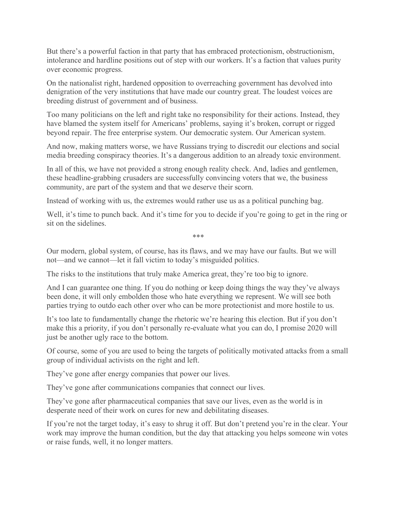But there's a powerful faction in that party that has embraced protectionism, obstructionism, intolerance and hardline positions out of step with our workers. It's a faction that values purity over economic progress.

On the nationalist right, hardened opposition to overreaching government has devolved into denigration of the very institutions that have made our country great. The loudest voices are breeding distrust of government and of business.

Too many politicians on the left and right take no responsibility for their actions. Instead, they have blamed the system itself for Americans' problems, saying it's broken, corrupt or rigged beyond repair. The free enterprise system. Our democratic system. Our American system.

And now, making matters worse, we have Russians trying to discredit our elections and social media breeding conspiracy theories. It's a dangerous addition to an already toxic environment.

In all of this, we have not provided a strong enough reality check. And, ladies and gentlemen, these headline-grabbing crusaders are successfully convincing voters that we, the business community, are part of the system and that we deserve their scorn.

Instead of working with us, the extremes would rather use us as a political punching bag.

Well, it's time to punch back. And it's time for you to decide if you're going to get in the ring or sit on the sidelines.

\*\*\*

Our modern, global system, of course, has its flaws, and we may have our faults. But we will not—and we cannot—let it fall victim to today's misguided politics.

The risks to the institutions that truly make America great, they're too big to ignore.

And I can guarantee one thing. If you do nothing or keep doing things the way they've always been done, it will only embolden those who hate everything we represent. We will see both parties trying to outdo each other over who can be more protectionist and more hostile to us.

It's too late to fundamentally change the rhetoric we're hearing this election. But if you don't make this a priority, if you don't personally re-evaluate what you can do, I promise 2020 will just be another ugly race to the bottom.

Of course, some of you are used to being the targets of politically motivated attacks from a small group of individual activists on the right and left.

They've gone after energy companies that power our lives.

They've gone after communications companies that connect our lives.

They've gone after pharmaceutical companies that save our lives, even as the world is in desperate need of their work on cures for new and debilitating diseases.

If you're not the target today, it's easy to shrug it off. But don't pretend you're in the clear. Your work may improve the human condition, but the day that attacking you helps someone win votes or raise funds, well, it no longer matters.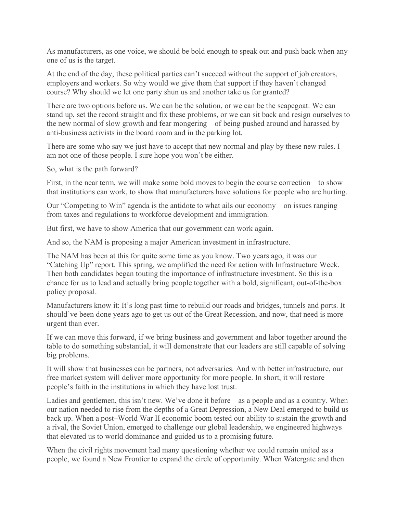As manufacturers, as one voice, we should be bold enough to speak out and push back when any one of us is the target.

At the end of the day, these political parties can't succeed without the support of job creators, employers and workers. So why would we give them that support if they haven't changed course? Why should we let one party shun us and another take us for granted?

There are two options before us. We can be the solution, or we can be the scapegoat. We can stand up, set the record straight and fix these problems, or we can sit back and resign ourselves to the new normal of slow growth and fear mongering—of being pushed around and harassed by anti-business activists in the board room and in the parking lot.

There are some who say we just have to accept that new normal and play by these new rules. I am not one of those people. I sure hope you won't be either.

So, what is the path forward?

First, in the near term, we will make some bold moves to begin the course correction—to show that institutions can work, to show that manufacturers have solutions for people who are hurting.

Our "Competing to Win" agenda is the antidote to what ails our economy—on issues ranging from taxes and regulations to workforce development and immigration.

But first, we have to show America that our government can work again.

And so, the NAM is proposing a major American investment in infrastructure.

The NAM has been at this for quite some time as you know. Two years ago, it was our "Catching Up" report. This spring, we amplified the need for action with Infrastructure Week. Then both candidates began touting the importance of infrastructure investment. So this is a chance for us to lead and actually bring people together with a bold, significant, out-of-the-box policy proposal.

Manufacturers know it: It's long past time to rebuild our roads and bridges, tunnels and ports. It should've been done years ago to get us out of the Great Recession, and now, that need is more urgent than ever.

If we can move this forward, if we bring business and government and labor together around the table to do something substantial, it will demonstrate that our leaders are still capable of solving big problems.

It will show that businesses can be partners, not adversaries. And with better infrastructure, our free market system will deliver more opportunity for more people. In short, it will restore people's faith in the institutions in which they have lost trust.

Ladies and gentlemen, this isn't new. We've done it before—as a people and as a country. When our nation needed to rise from the depths of a Great Depression, a New Deal emerged to build us back up. When a post–World War II economic boom tested our ability to sustain the growth and a rival, the Soviet Union, emerged to challenge our global leadership, we engineered highways that elevated us to world dominance and guided us to a promising future.

When the civil rights movement had many questioning whether we could remain united as a people, we found a New Frontier to expand the circle of opportunity. When Watergate and then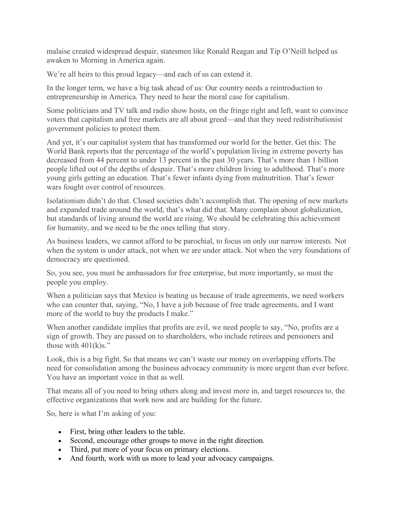malaise created widespread despair, statesmen like Ronald Reagan and Tip O'Neill helped us awaken to Morning in America again.

We're all heirs to this proud legacy—and each of us can extend it.

In the longer term, we have a big task ahead of us: Our country needs a reintroduction to entrepreneurship in America. They need to hear the moral case for capitalism.

Some politicians and TV talk and radio show hosts, on the fringe right and left, want to convince voters that capitalism and free markets are all about greed—and that they need redistributionist government policies to protect them.

And yet, it's our capitalist system that has transformed our world for the better. Get this: The World Bank reports that the percentage of the world's population living in extreme poverty has decreased from 44 percent to under 13 percent in the past 30 years. That's more than 1 billion people lifted out of the depths of despair. That's more children living to adulthood. That's more young girls getting an education. That's fewer infants dying from malnutrition. That's fewer wars fought over control of resources.

Isolationism didn't do that. Closed societies didn't accomplish that. The opening of new markets and expanded trade around the world, that's what did that. Many complain about globalization, but standards of living around the world are rising. We should be celebrating this achievement for humanity, and we need to be the ones telling that story.

As business leaders, we cannot afford to be parochial, to focus on only our narrow interests. Not when the system is under attack, not when we are under attack. Not when the very foundations of democracy are questioned.

So, you see, you must be ambassadors for free enterprise, but more importantly, so must the people you employ.

When a politician says that Mexico is beating us because of trade agreements, we need workers who can counter that, saying, "No, I have a job because of free trade agreements, and I want more of the world to buy the products I make."

When another candidate implies that profits are evil, we need people to say, "No, profits are a sign of growth. They are passed on to shareholders, who include retirees and pensioners and those with  $401(k)s$ ."

Look, this is a big fight. So that means we can't waste our money on overlapping efforts.The need for consolidation among the business advocacy community is more urgent than ever before. You have an important voice in that as well.

That means all of you need to bring others along and invest more in, and target resources to, the effective organizations that work now and are building for the future.

So, here is what I'm asking of you:

- First, bring other leaders to the table.
- Second, encourage other groups to move in the right direction.
- Third, put more of your focus on primary elections.
- And fourth, work with us more to lead your advocacy campaigns.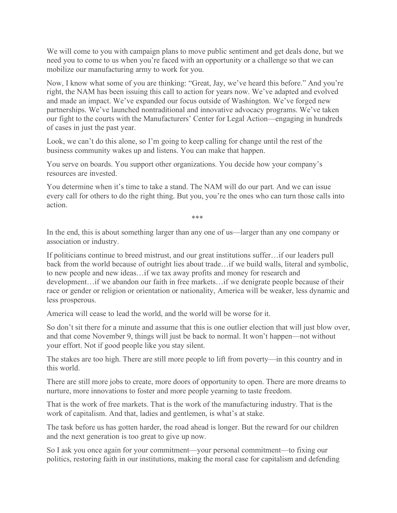We will come to you with campaign plans to move public sentiment and get deals done, but we need you to come to us when you're faced with an opportunity or a challenge so that we can mobilize our manufacturing army to work for you.

Now, I know what some of you are thinking: "Great, Jay, we've heard this before." And you're right, the NAM has been issuing this call to action for years now. We've adapted and evolved and made an impact. We've expanded our focus outside of Washington. We've forged new partnerships. We've launched nontraditional and innovative advocacy programs. We've taken our fight to the courts with the Manufacturers' Center for Legal Action—engaging in hundreds of cases in just the past year.

Look, we can't do this alone, so I'm going to keep calling for change until the rest of the business community wakes up and listens. You can make that happen.

You serve on boards. You support other organizations. You decide how your company's resources are invested.

You determine when it's time to take a stand. The NAM will do our part. And we can issue every call for others to do the right thing. But you, you're the ones who can turn those calls into action.

\*\*\*

In the end, this is about something larger than any one of us—larger than any one company or association or industry.

If politicians continue to breed mistrust, and our great institutions suffer…if our leaders pull back from the world because of outright lies about trade…if we build walls, literal and symbolic, to new people and new ideas…if we tax away profits and money for research and development…if we abandon our faith in free markets…if we denigrate people because of their race or gender or religion or orientation or nationality, America will be weaker, less dynamic and less prosperous.

America will cease to lead the world, and the world will be worse for it.

So don't sit there for a minute and assume that this is one outlier election that will just blow over, and that come November 9, things will just be back to normal. It won't happen—not without your effort. Not if good people like you stay silent.

The stakes are too high. There are still more people to lift from poverty—in this country and in this world.

There are still more jobs to create, more doors of opportunity to open. There are more dreams to nurture, more innovations to foster and more people yearning to taste freedom.

That is the work of free markets. That is the work of the manufacturing industry. That is the work of capitalism. And that, ladies and gentlemen, is what's at stake.

The task before us has gotten harder, the road ahead is longer. But the reward for our children and the next generation is too great to give up now.

So I ask you once again for your commitment—your personal commitment—to fixing our politics, restoring faith in our institutions, making the moral case for capitalism and defending